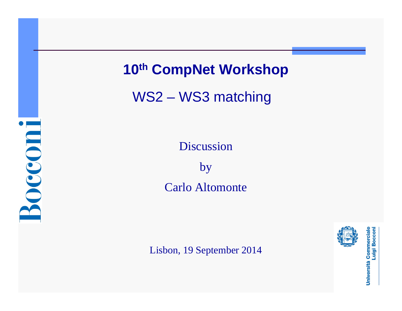**Bocconi** 

# **10th CompNet Workshop**

WS2 – WS3 matching

Discussion

by Carlo Altomonte

Lisbon, 19 September 2014



Università Commerciale<br>Luigi Bocconi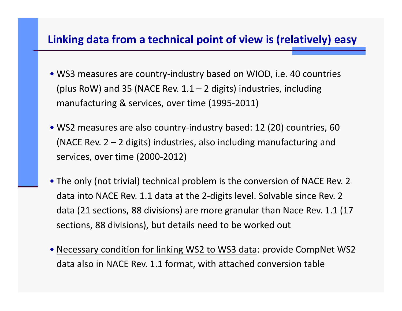### **Linking data from <sup>a</sup> technical point of view is (relatively) easy**

- WS3 measures are country‐industry based on WIOD, i.e. 40 countries (plus RoW) and 35 (NACE Rev.  $1.1 - 2$  digits) industries, including manufacturing & services, over time (1995‐2011)
- WS2 measures are also country‐industry based: 12 (20) countries, 60 (NACE Rev.  $2 - 2$  digits) industries, also including manufacturing and services, over time (2000‐2012)
- The only (not trivial) technical problem is the conversion of NACE Rev. 2 data into NACE Rev. 1.1 data at the 2‐digits level. Solvable since Rev. 2 data (21 sections, 88 divisions) are more granular than Nace Rev. 1.1 (17 sections, 88 divisions), but details need to be worked out
- Necessary condition for linking WS2 to WS3 data: provide CompNet WS2 data also in NACE Rev. 1.1 format, with attached conversion table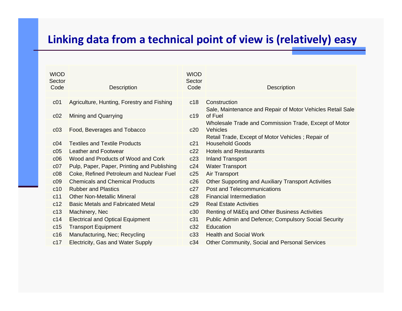## **Linking data from <sup>a</sup> technical point of view is (relatively) easy**

| <b>WIOD</b><br>Sector<br>Code | <b>Description</b>                          | <b>WIOD</b><br>Sector<br>Code | <b>Description</b>                                                          |
|-------------------------------|---------------------------------------------|-------------------------------|-----------------------------------------------------------------------------|
|                               |                                             |                               |                                                                             |
| c <sub>01</sub>               | Agriculture, Hunting, Forestry and Fishing  | c18                           | Construction                                                                |
| c02                           | <b>Mining and Quarrying</b>                 | c19                           | Sale, Maintenance and Repair of Motor Vehicles Retail Sale<br>of Fuel       |
| c03                           | Food, Beverages and Tobacco                 | c20                           | Wholesale Trade and Commission Trade, Except of Motor<br><b>Vehicles</b>    |
| C <sub>04</sub>               | <b>Textiles and Textile Products</b>        | c21                           | Retail Trade, Except of Motor Vehicles; Repair of<br><b>Household Goods</b> |
| c05                           | <b>Leather and Footwear</b>                 | c22                           | <b>Hotels and Restaurants</b>                                               |
| c06                           | Wood and Products of Wood and Cork          | c23                           | <b>Inland Transport</b>                                                     |
| c07                           | Pulp, Paper, Paper, Printing and Publishing | c24                           | <b>Water Transport</b>                                                      |
| c08                           | Coke, Refined Petroleum and Nuclear Fuel    | c25                           | <b>Air Transport</b>                                                        |
| c09                           | <b>Chemicals and Chemical Products</b>      | c26                           | <b>Other Supporting and Auxiliary Transport Activities</b>                  |
| c10                           | <b>Rubber and Plastics</b>                  | c27                           | <b>Post and Telecommunications</b>                                          |
| c11                           | <b>Other Non-Metallic Mineral</b>           | c28                           | <b>Financial Intermediation</b>                                             |
| c12                           | <b>Basic Metals and Fabricated Metal</b>    | c29                           | <b>Real Estate Activities</b>                                               |
| c13                           | Machinery, Nec                              | c30                           | Renting of M&Eq and Other Business Activities                               |
| c14                           | <b>Electrical and Optical Equipment</b>     | c31                           | <b>Public Admin and Defence; Compulsory Social Security</b>                 |
| c15                           | <b>Transport Equipment</b>                  | c32                           | Education                                                                   |
| c16                           | Manufacturing, Nec; Recycling               | c33                           | <b>Health and Social Work</b>                                               |
| c17                           | Electricity, Gas and Water Supply           | c34                           | Other Community, Social and Personal Services                               |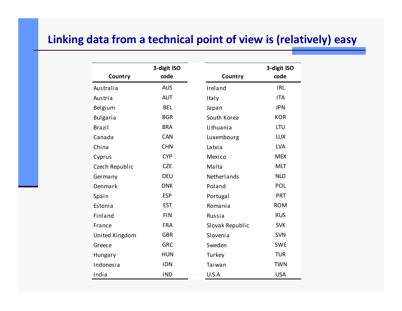### **Linking data from <sup>a</sup> technical point of view is (relatively) easy**

|                 | 3-digit ISO |                 | 3-digit ISO |
|-----------------|-------------|-----------------|-------------|
| Country         | code        | Country         | code        |
| Australia       | <b>AUS</b>  | Ireland         | <b>IRL</b>  |
| Austria         | <b>AUT</b>  | Italy           | <b>ITA</b>  |
| Belgium         | <b>BEL</b>  | Japan           | <b>JPN</b>  |
| <b>Bulgaria</b> | <b>BGR</b>  | South Korea     | <b>KOR</b>  |
| <b>Brazil</b>   | <b>BRA</b>  | Lithuania       | <b>LTU</b>  |
| Canada          | <b>CAN</b>  | Luxembourg      | <b>LUX</b>  |
| China           | <b>CHN</b>  | Latvia          | <b>LVA</b>  |
| Cyprus          | <b>CYP</b>  | Mexico          | <b>MEX</b>  |
| Czech Republic  | <b>CZE</b>  | Malta           | <b>MLT</b>  |
| Germany         | <b>DEU</b>  | Netherlands     | <b>NLD</b>  |
| Denmark         | <b>DNK</b>  | Poland          | POL         |
| Spain           | <b>ESP</b>  | Portugal        | PRT         |
| Estonia         | <b>EST</b>  | Romania         | <b>ROM</b>  |
| Finland         | <b>FIN</b>  | Russia          | <b>RUS</b>  |
| France          | <b>FRA</b>  | Slovak Republic | <b>SVK</b>  |
| United Kingdom  | <b>GBR</b>  | Slovenia        | <b>SVN</b>  |
| Greece          | <b>GRC</b>  | Sweden          | <b>SWE</b>  |
| <b>Hungary</b>  | <b>HUN</b>  | Turkey          | <b>TUR</b>  |
| Indonesia       | <b>IDN</b>  | Taiwan          | <b>TWN</b>  |
| India           | <b>IND</b>  | U.S.A           | <b>USA</b>  |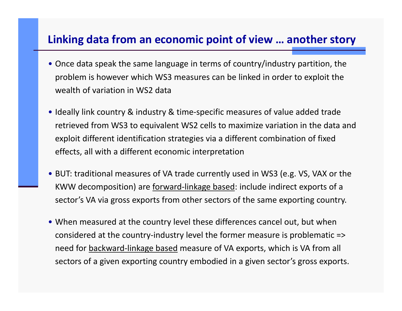### **Linking data from an economic point of view … another story**

- Once data speak the same language in terms of country/industry partition, the problem is however which WS3 measures can be linked in order to exploit the wealth of variation in WS2 data
- Ideally link country & industry & time‐specific measures of value added trade retrieved from WS3 to equivalent WS2 cells to maximize variation in the data and exploit different identification strategies via <sup>a</sup> different combination of fixed effects, all with <sup>a</sup> different economic interpretation
- BUT: traditional measures of VA trade currently used in WS3 (e.g. VS, VAX or the KWW decomposition) are forward-linkage based: include indirect exports of a sector's VA via gross exports from other sectors of the same exporting country.
- When measured at the country level these differences cancel out, but when considered at the country‐industry level the former measure is problematic => need for <u>backward-linkage based</u> measure of VA exports, which is VA from all sectors of <sup>a</sup> given exporting country embodied in <sup>a</sup> given sector's gross exports.